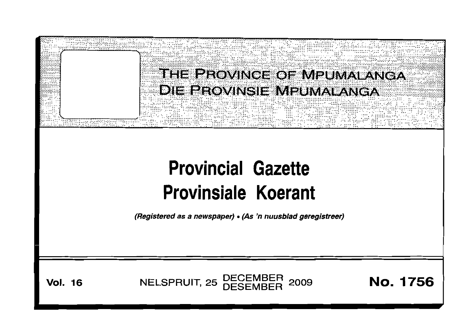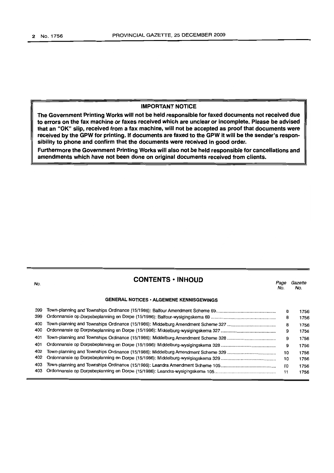#### **IMPORTANT NOTICE**

**The Government Printing Works will not be held responsible for faxed documents not received due to errors on the fax machine or faxes received which are unclear or incomplete. Please be advised that an "OK" slip, received from a fax machine, will not be accepted as proof that documents were received by the GPW for printing. If documents are faxed to the GPW it will be the sender's responsibility to phone and confirm that the documents were received in good order.**

**Furthermore the Government Printing Works will also not be held responsible for cancellations and amendments which have not been done on original documents received from clients.**

# **CONTENTS· INHOUD**

Page Gazette

| No. |                                                 | raye<br>No. | Gazene<br>No. |
|-----|-------------------------------------------------|-------------|---------------|
|     | <b>GENERAL NOTICES · ALGEMENE KENNISGEWINGS</b> |             |               |
| 399 |                                                 | 8           | 1756          |
| 399 |                                                 | 8           | 1756          |
| 400 |                                                 | 8           | 1756          |
| 400 |                                                 | 9           | 1756          |
| 401 |                                                 | 9           | 1756          |
| 401 |                                                 | 9           | 1756          |
| 402 |                                                 | 10          | 1756          |
| 402 |                                                 | 10          | 1756          |
| 403 |                                                 | 10          | 1756          |
| 403 |                                                 | 11          | 1756          |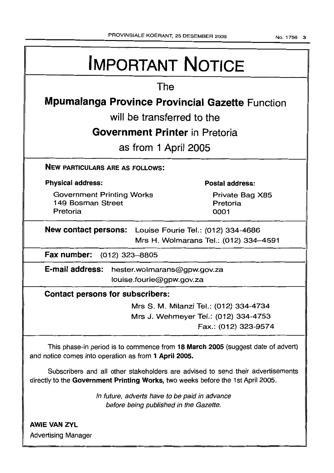| <b>IMPORTANT NOTICE</b>                                                                                                                                            |                                     |  |  |  |  |
|--------------------------------------------------------------------------------------------------------------------------------------------------------------------|-------------------------------------|--|--|--|--|
| The                                                                                                                                                                |                                     |  |  |  |  |
| <b>Mpumalanga Province Provincial Gazette Function</b>                                                                                                             |                                     |  |  |  |  |
| will be transferred to the                                                                                                                                         |                                     |  |  |  |  |
| <b>Government Printer in Pretoria</b>                                                                                                                              |                                     |  |  |  |  |
| as from 1 April 2005                                                                                                                                               |                                     |  |  |  |  |
| <b>NEW PARTICULARS ARE AS FOLLOWS:</b>                                                                                                                             |                                     |  |  |  |  |
| <b>Physical address:</b>                                                                                                                                           | <b>Postal address:</b>              |  |  |  |  |
| <b>Government Printing Works</b><br>149 Bosman Street<br>Pretoria                                                                                                  | Private Bag X85<br>Pretoria<br>0001 |  |  |  |  |
| <b>New contact persons:</b> Louise Fourie Tel.: (012) 334-4686<br>Mrs H. Wolmarans Tel.: (012) 334-4591                                                            |                                     |  |  |  |  |
| Fax number: (012) 323-8805                                                                                                                                         |                                     |  |  |  |  |
| E-mail address:<br>hester.wolmarans@gpw.gov.za<br>louise.fourie@gpw.gov.za                                                                                         |                                     |  |  |  |  |
| <b>Contact persons for subscribers:</b>                                                                                                                            |                                     |  |  |  |  |
| Mrs S. M. Milanzi Tel.: (012) 334-4734<br>Mrs J. Wehmeyer Tel.: (012) 334-4753<br>Fax.: (012) 323-9574                                                             |                                     |  |  |  |  |
| This phase-in period is to commence from 18 March 2005 (suggest date of advert)<br>and notice comes into operation as from 1 April 2005.                           |                                     |  |  |  |  |
| Subscribers and all other stakeholders are advised to send their advertisements<br>directly to the Government Printing Works, two weeks before the 1st April 2005. |                                     |  |  |  |  |
| In future, adverts have to be paid in advance<br>before being published in the Gazette.                                                                            |                                     |  |  |  |  |
| <b>AWIE VAN ZYL</b>                                                                                                                                                |                                     |  |  |  |  |
| <b>Advertising Manager</b>                                                                                                                                         |                                     |  |  |  |  |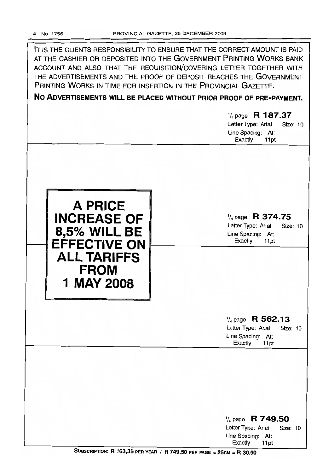IT IS THE CLIENTS RESPONSIBILITY TO ENSURE THAT THE CORRECT AMOUNT IS PAID AT THE CASHIER OR DEPOSITED INTO THE GOVERNMENT PRINTING WORKS BANK ACCOUNT AND ALSO THAT THE REQUISITION/COVERING LETTER TOGETHER WITH THE ADVERTISEMENTS AND THE PROOF OF DEPOSIT REACHES THE GOVERNMENT PRINTING WORKS IN TIME FOR INSERTION IN THE PROVINCIAL GAZETTE.

**No ADVERTISEMENTS WILL BE PLACED WITHOUT PRIOR PROOF OF PRE-PAYMENT.**

|                                                                                                                                              | $\frac{1}{4}$ page R 187.37<br>Letter Type: Arial<br>Size: 10<br>Line Spacing: At:<br>Exactly<br>11pt |
|----------------------------------------------------------------------------------------------------------------------------------------------|-------------------------------------------------------------------------------------------------------|
| <b>A PRICE</b><br><b>INCREASE OF</b><br><b>8,5% WILL BE</b><br><b>EFFECTIVE ON</b><br><b>ALL TARIFFS</b><br><b>FROM</b><br><b>1 MAY 2008</b> | $\frac{1}{4}$ page R 374.75<br>Letter Type: Arial<br>Size: 10<br>Line Spacing: At:<br>Exactly<br>11pt |
|                                                                                                                                              | $\frac{1}{4}$ page R 562.13<br>Letter Type: Arial<br>Size: 10<br>Line Spacing: At:<br>Exactly<br>11pt |
|                                                                                                                                              | $\frac{1}{4}$ page R 749.50<br>Letter Type: Arial<br>Size: 10<br>Line Spacing: At:                    |

SUBSCRIPTION: R 163,35 PER YEAR / R 749.50 PER PAGE = 25CM = R 30,00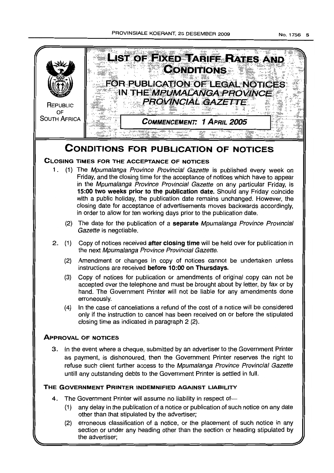



the advertiser;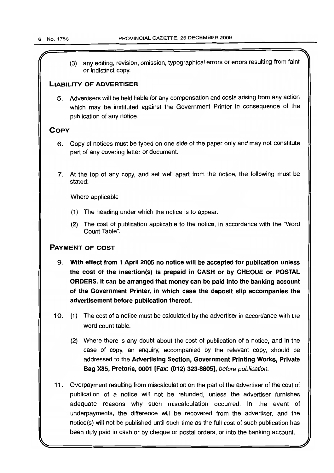any editing, revision, omission, typographical errors or errors resulting from faint  $(3)$ or indistinct copy.

# LIABILITY OF ADVERTISER

5. Advertisers will be held liable for any compensation and costs arising from any action which may be instituted against the Government Printer in consequence of the publication of any notice.

# **COPY**

- 6. Copy of notices must be typed on one side of the paper only and may not constitute part of any covering letter or document.
- 7. At the top of any copy, and set well apart from the notice, the following must be stated:

Where applicable

- (1) The heading under which the notice is to appear.
- (2) The cost of publication applicable to the notice, in accordance with the "Word Count Table".

# PAYMENT OF COST

- 9. With effect from 1 April 2005 no notice will be accepted for publication unless the cost of the insertion(s) is prepaid in CASH or by CHEQUE or POSTAL ORDERS. It can be arranged that money can be paid into the banking account of the Government Printer, in which case the deposit slip accompanies the advertisement before publication thereof.
- 10. (1) The cost of a notice must be calculated by the advertiser in accordance with the word count table.
	- (2) Where there is any doubt about the cost of publication of a notice, and in the case of copy, an enquiry, accompanied by the relevant copy, should be addressed to the Advertising Section, Government Printing Works, Private Bag X85, Pretoria, 0001 [Fax: (012) 323-8805], before publication.
- 11. Overpayment resulting from miscalculation on the part of the advertiser of the cost of publication of a notice will not be refunded, unless the advertiser furnishes adequate reasons why such miscalculation occurred. In the event of underpayments, the difference will be recovered from the advertiser, and the notice(s) will not be published until such time as the full cost of such publication has been duly paid in cash or by cheque or postal orders, or into the banking account.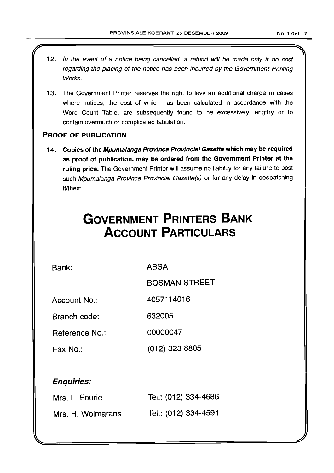- 12. In the event of a notice being cancelled, a refund will be made only if no cost regarding the placing of the notice has been incurred by the Government Printing Works.
- 13. The Government Printer reserves the right to levy an additional charge in cases where notices, the cost of which has been calculated in accordance with the Word Count Table, are subsequently found to be excessively lengthy or to contain overmuch or complicated tabulation.

# PROOF OF PUBLICATION

14. Copies of the Mpumalanga Province Provincial Gazette which may be required as proof of publication, may be ordered from the Government Printer at the ruling price. The Government Printer will assume no liability for any failure to post such Mpumalanga Province Provincial Gazette(s) or for any delay in despatching it/them.

# **GOVERNMENT PRINTERS BANK ACCOUNT PARTICULARS**

Bank: ABSA

BOSMAN STREET

Account No.: 4057114016

Branch code: 632005

Reference No.: 00000047

Fax No.: (012) 323 8805

# Enquiries:

| Mrs. L. Fourie    | Tel.: (012) 334-4686 |
|-------------------|----------------------|
| Mrs. H. Wolmarans | Tel.: (012) 334-4591 |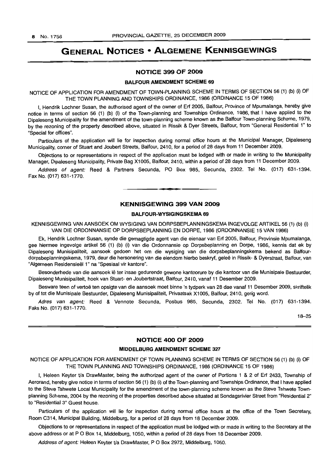# **GENERAL NOTICES • ALGEMENE KENNISGEWINGS**

#### **NOTICE 399 OF 2009**

#### **BALFOUR AMENDMENT SCHEME 69**

NOTICE **OF** APPLICATION FOR AMENDMENT OF TOWN-PLANNING SCHEME IN TERMS OF SECTION 56 (1) (b) (i) **OF** THE TOWN PLANNING AND TOWNSHIPS ORDINANCE, 1986 (ORDINANCE 15 OF 1986)

I, Hendrik Lochner Susan, the authorised agent of the owner of Erf 2005, Balfour, Province of Mpumalanga, hereby give notice in terms of section 56 (1) (b) (i) of the Town-planning and Townships Ordinance, 1986, that I have applied to the Dipaleseng Municipality for the amendment of the town-planning scheme known as the Balfour Town-planning Scheme, 1979, by the rezoning of the property described above, situated in Rissik & Dyer Streets, Balfour, from "General Residential 1" to "Special for offices".

Particulars of the application will lie for inspection during normal office hours at the Municipal Manager, Dipaleseng Municipality, corner of Stuart and Joubert Streets, Balfour, 2410, for a period of 28 days from 11 December 2009.

Objections to or representations in respect of the application must be lodged with or made in writing to the Municipality Manager, Dipaleseng Municipality, Private Bag Xl 005, Balfour, 2410, within a period of 28 days from 11 December 2009.

Address of agent: Reed & Partners Secunda, PO Box 985, Secunda, 2302. Tel No. (017) 631-1394. Fax No. (017) 631-1770.

#### **KENNISGEWING 399 VAN 2009**

#### **BALFOUR-WYSIGINGSKEMA 69**

KENNISGEWING VAN AANSOEK OM WYSIGING VAN DORPSBEPLANNINGSKEMA INGEVOLGE ARTIKEL 56 (1) (b) (i) VAN DIE ORDONNANSIE OP DORPSBEPLANNING EN DORPE, 1986 (ORDONNANSIE 15 VAN 1986)

Ek, Hendrik Lochner Susan, synde die gemagtigde agent van die eienaar van Erf 2005, Balfour, Provinsie Mpumalanga, gee hiermee ingevolge artikel 56 (1) (b) (i) van die Ordonnansie op Dorpsbeplanning en Dorpe, 1986, kennis dat ek by Dipaleseng Munisipaliteit, aansoek gedoen het om die wysiging van die dorpsbeplanningskema bekend as Balfourdorpsbeplanningskema, 1979, deur die hersonering van die eiendom hierbo beskryf, gelee in Rissik- & Dyerstraat, Balfour, van "Algemeen Residensieel 1" na "Spesiaal vir kantore".

Besonderhede van die aansoek lê ter insae gedurende gewone kantoorure by die kantoor van die Munisipale Bestuurder, Dipaleseng Munisipaliteit, hoek van Stuart- en Joubertstraat, Balfour, 2410, vanaf 11 Desember 2009.

Besware teen of vertoë ten opsigte van die aansoek moet binne 'n tydperk van 28 dae vanaf 11 Desember 2009, skriftelik by of tot die Munisipale Bestuurder, Dipaleseng Munisipaliteit, Privaatsak X1005, Balfour, 2410, gerig word.

Adres van agent: Reed & Vennote Secunda, Posbus 985, Secunda, 2302. Tel No. (017) 631-1394. Faks No. (017) 631-1770.

18-25

#### **NOTICE 400 OF 2009**

#### **MIDDELBURG AMENDMENT SCHEME 327**

NOTICE OF APPLICATION FOR AMENDMENT OF TOWN PLANNING SCHEME IN TERMS OF SECTION 56 (1) (b) (i) OF THE TOWN PLANNING AND TOWNSHIPS ORDINANCE, 1986 (ORDINANCE 15 OF 1986)

I, Heleen Keyter Va DrawMaster, being the authorized agent of the owner of Portions 1 & 2 of Err 2433, Township of Aerorand, hereby give notice in terms of section 56 (1) (b) (i) of the Town-planning and Townships Ordinance, that I have applied to the Steve Tshwete Local Municipality for the amendment of the town-planning scheme known as the Steve Tshwete Townplanning Scheme, 2004 by the rezoning of the properties described above situated at Sondagsrivier Street from "Residential 2" to "Residential 3" Guest house.

Particulars of the application will lie for inspection during normal office hours at the office of the Town Secretary, Room C314, Municipal Building, Middelburg, for a period of 28 days from 18 December 2009.

Objections to or representations in respect of the application must be lodqed with or made in writing to the Secretary at the above address or at P O Box 14, Middelburg, 1050, within a period of 28 days from 18 December 2009.

Address of agent: Heleen Keyter t/a DrawMaster, P O Box 2972, Middelburg, 1050.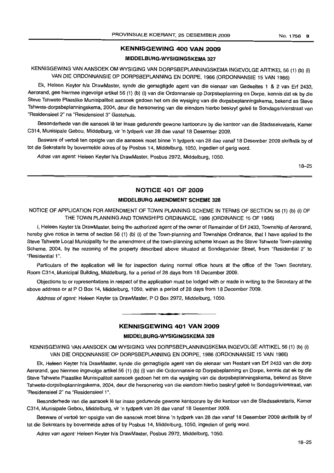# **KENNISGEWING 400 VAN 2009**

#### **MIDDELBURG·WYSIGINGSKEMA 327**

KENNISGEWING VAN AANSOEK OM WYSIGING VAN DORPSBEPLANNINGSKEMA INGEVOLGE ARTIKEL 56 (1) (b) (i) VAN DIE ORDONNANSIE OP DORPSBEPLANNING EN DORPE, 1986 (ORDONNANSIE 15 VAN 1986)

Ek, Heleen Keyter h/a DrawMaster, synde die gemagtigde agent van die eienaar van Gedeeltes 1 & 2 van Erf 2433, Aerorand, gee hiermee ingevolge artikel 56 (1) (b) (i) van die Ordonnansie op Dorpsbeplanning en Dorpe, kennis dat ek by die Steve Tshwete Plaaslike Munisipaliteit aansoek gedoen het om die wysiging van die dorpsbeplanningskema, bekend as Steve Tshwete-dorpsbeplanningskema, 2004, deur die hersonering van die eiendom hierbo beskryf geleë te Sondagsrivierstraat van "Residensieel 2" na "Residensieel 3" Gastehuis.

Besonderhede van die aansoek lê ter insae gedurende gewone kantoorure by die kantoor van die Stadssekretaris, Kamer C314, Munisipale Gebou, Middelburg, vir 'n tydperk van 28 dae vanaf 18 Desember 2009.

Besware of vertoë ten opsigte van die aansoek moet binne 'n tydperk van 28 dae vanaf 18 Desember 2009 skriftelik by of tot die Sekretaris by bovermelde adres of by Posbus 14, Middelburg, 1050, ingedien of gerig word.

Adres van agent: Heleen Keyter h/a DrawMaster, Posbus 2972, Middelburg, 1050.

18-25

#### **NOTICE 401 OF 2009**

#### **MIDDELBURG AMENDMENT SCHEME 328**

NOTICE OF APPLICATION FOR AMENDMENT OF TOWN PLANNING SCHEME IN TERMS OF SECTION 56 (1) (b) (i) OF THE TOWN PLANNING AND TOWNSHIPS ORDINANCE, 1986 (ORDINANCE 15 OF 1986)

I, Heleen Keyter t/a DrawMaster, being the authorized agent of the owner of Remainder of Erf 2433, Township of Aerorand, hereby give notice in terms of section 56 (1) (b) (i) of the Town-planning and Townships Ordinance, that I have applied to the Steve Tshwete Local Municipality for the amendment of the town-planning scheme known as the Steve Tshwete Town-planning Scheme, 2004, by the rezoning of the property described above situated at Sondagsrivier Street, from "Residential 2" to "Residential 1".

Particulars of the application will lie for inspection during normal office hours at the office of the Town Secretary, Room C314, Municipal Building, Middelburg, for a period of 28 days from 18 December 2009.

Objections to or representations in respect of the application must be lodged with or made in writing to the Secretary at the above address or at P O Box 14, Middelburg, 1050, within a period of 28 days from 18 December 2009.

Address of agent: Heleen Keyter t/a DrawMaster, P O Box 2972, Middelburg, 1050.

#### **KENNISGEWING 401 VAN 2009**

**• •**

#### **MIDDELBURG-WYSIGINGSKEMA 328**

KENNISGEWING VAN AANSOEK OM WYSIGING VAN DORPSBEPLANNINGSKEMA INGEVOLGE ARTIKEL 56 (1) (b) (i) VAN DIE ORDONNANSIE OP DORPSBEPLANNING EN DORPE, 1986 (ORDONNANSIE 15 VAN 1986)

Ek, Heleen Keyter h/a DrawMaster, synde die gemagtigde agent van die eienaar van Restant van Erf 2433 van die dorp Aerorand, gee hiermee ingevolge artikel56 (1) (b) (i) van die Ordonnansie op Dorpsbeplanning en Dorpe, kennis dat ek by die Steve Tshwete Plaaslike Munisipaliteit aansoek gedoen het om die wysiging van die dorpsbeplanningskema, bekend as Steve Tshwete-dorpsbeplanningskema, 2004, deur die hersonering van die eiendom hierbo beskryf gelee te Sondagsrivierstraat, van "Residensieel 2" na "Residensieel 1",

Besonderhede van die aansoek lê ter insae gedurende gewone kantoorure by die kantoor van die Stadssekretaris, Kamer C314, Munisipale Gebou, Middelburg, vir 'n tydperk van 28 dae vanaf 18 Desember 2009.

Besware of vertoë ten opsigte van die aansoek moet binne 'n tydperk van 28 dae vanaf 18 Desember 2009 skriftelik by of tot die Sekretaris by bovermelde adres of by Posbus 14, Middelburg, 1050, ingedien of gerig word.

Adres van agent: Heleen Keyter h/a DrawMaster, Posbus 2972, Middelburg, 1050.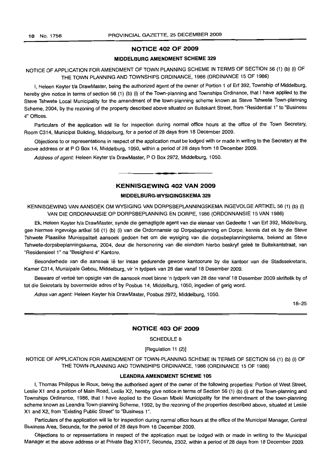#### **NOTICE 402 OF 2009**

#### **MIDDELBURG AMENDMENT SCHEME 329**

NOTICE OF APPLICATION FOR AMENDMENT OF TOWN PLANNING SCHEME IN TERMS OF SECTION 56 (1) (b) (i) OF THE TOWN PLANNING AND TOWNSHIPS ORDINANCE, 1986 (ORDINANCE 15 OF 1986)

I, Heleen Keyter *Va* DrawMaster, being the authorized agent of the owner of Portion 1 of Erf 392, Township of Middelburg, hereby give notice in terms of section 56 (1) (b) (i) of the Town-planning and Townships Ordinance, that I have applied to the Steve Tshwete Local Municipality for the amendment of the town-planning scheme known as Steve Tshwete Town-planning Scheme, 2004, by the rezoning of the property described above situated on Buitekant Street, from "Residential 1" to "Business 4" Offices.

Particulars of the application will lie for inspection during normal office hours at the office of the Town Secretary, Room C314, Municipal Building, Middelburg, for a period of 28 days from 18 December 2009.

Objections to or representations in respect of the application must be lodged with or made in writing to the Secretary at the above address or at P O Box 14, Middelburg, 1050, within a period of 28 days from 18 December 2009.

Address of agent: Heleen Keyter t/a DrawMaster, P O Box 2972, Middelburg, 1050.

# **KENNISGEWING 402 VAN 2009**

.**- .**

#### **MIDDELBURG-WYSIGINGSKEMA 329**

KENNISGEWING VAN AANSOEK OM WYSIGING VAN DORPSBEPLANNINGSKEMA INGEVOLGE ARTIKEL 56 (1) (b) (i) VAN DIE ORDONNANSIE OP DORPSBEPLANNING EN DORPE, 1986 (ORDONNANSIE 15 VAN 1986)

Ek, Heleen Keyter h/a DrawMaster, synde die gemagtigde agent van die eienaar van Gedeelte 1 van Erf 392, Middelburg, gee hiermee ingevolge artikel 56 (1) (b) (i) van die Ordonnansie op Dorpsbeplanning en Dorpe, kennis dat ek by die Steve Tshwete Plaaslike Munisipaliteit aansoek gedoen het om die wysiging van die dorpsbeplanningskema, bekend as Steve Tshwete-dorpsbeplanningskema, 2004, deur die hersonering van die eiendom hierbo beskryf gelee te Buitekantstraat, van "Residensieel 1" na "Besigheid 4" Kantore.

Besonderhede van die aansoek lê ter insae gedurende gewone kantoorure by die kantoor van die Stadssekretaris, Kamer C314, Munisipale Gebou, Middelburg, vir 'n tydperk van 28 dae vanaf 18 Desember 2009.

Besware of vertoë ten opsigte van die aansoek moet binne 'n tydperk van 28 dae vanaf 18 Desember 2009 skriftelik by of tot die Sekretaris by bovermelde adres of by Posbus 14, Middelburg, 1050, ingedien of gerig word.

Adres van agent: Heleen Keyter h/a DrawMaster, Posbus 2972, Middelburg, 1050.

18-25

#### **NOTICE 403 OF 2009**

#### SCHEDULE 8

[Regulation 11 (2)]

NOTICE OF APPLICATION FOR AMENDMENT OF TOWN-PLANNING SCHEME IN TERMS OF SECTION 56 (1) (b) (i) OF THE TOWN-PLANNING AND TOWNSHIPS ORDINANCE, 1986 (ORDINANCE 15 OF 1986)

#### **LEANDRAAMENDMENT SCHEME 105**

I, Thomas Philippus Ie Roux, being the authorised agent of the owner of the following properties: Portion of West Street, Leslie X1 and a portion of Main Road, Leslie X2, hereby give notice in terms of Section 56 (1) (b) (i) of the Town-planning and Townships Ordinance, 1986, that I have applied to the Govan Mbeki Municipality for the amendment of the town-planning scheme known as Leandra Town-planning Scheme, 1992, by the rezoning of the properties described above, situated at Leslie X1 and X2, from "Existing Public Street" to "Business 1".

Particulars of the application will lie for inspection during normal office hours at the office of the Municipal Manager, Central Business Area, Secunda, for the period of 28 days from 18 December 2009.

Objections to or representations in respect of the application must be lodged with or made in writing to the Municipal Manager at the above address or at Private Bag X1017, Secunda, 2302, within a period of 28 days from 18 December 2009.